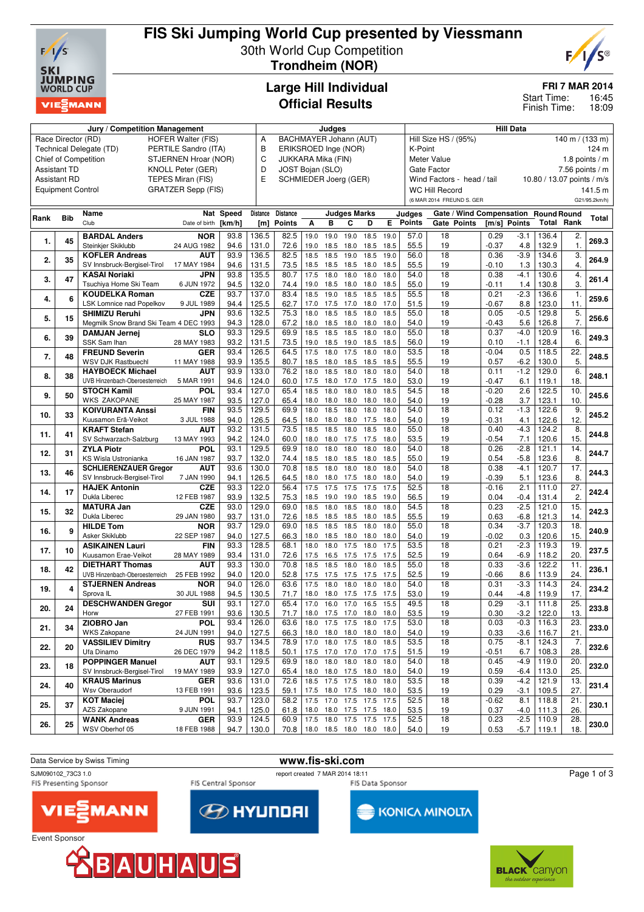

## **FIS Ski Jumping World Cup presented by Viessmann** 30th World Cup Competition **Trondheim (NOR)**



**FRI 7 MAR 2014**

16:45 18:09 Start Time: Finish Time:

# **Large Hill Individual Official Results**

|      |                                                 | Judges                                 |                           |                               |                |                                        |                                                                              |                | <b>Hill Data</b>         |              |                                           |                  |                                      |              |                            |                   |                   |               |  |
|------|-------------------------------------------------|----------------------------------------|---------------------------|-------------------------------|----------------|----------------------------------------|------------------------------------------------------------------------------|----------------|--------------------------|--------------|-------------------------------------------|------------------|--------------------------------------|--------------|----------------------------|-------------------|-------------------|---------------|--|
|      | Race Director (RD)                              | <b>HOFER Walter (FIS)</b>              | Α                         | <b>BACHMAYER Johann (AUT)</b> |                |                                        |                                                                              |                |                          |              | Hill Size HS / (95%)<br>140 m / $(133 m)$ |                  |                                      |              |                            |                   |                   |               |  |
|      | PERTILE Sandro (ITA)<br>Technical Delegate (TD) |                                        |                           |                               |                |                                        | B<br>ERIKSROED Inge (NOR)                                                    |                |                          |              |                                           | K-Point<br>124 m |                                      |              |                            |                   |                   |               |  |
|      |                                                 | Chief of Competition                   | STJERNEN Hroar (NOR)      |                               |                | C<br>JUKKARA Mika (FIN)                |                                                                              |                |                          |              | <b>Meter Value</b><br>1.8 points $/m$     |                  |                                      |              |                            |                   |                   |               |  |
|      | <b>Assistant TD</b>                             |                                        | KNOLL Peter (GER)         |                               | D              |                                        |                                                                              |                |                          |              |                                           |                  |                                      |              | 7.56 points / $m$          |                   |                   |               |  |
|      | <b>Assistant RD</b>                             |                                        | TEPES Miran (FIS)         |                               | E              | JOST Bojan (SLO)<br><b>Gate Factor</b> |                                                                              |                |                          |              |                                           |                  |                                      |              |                            |                   |                   |               |  |
|      |                                                 |                                        |                           |                               |                |                                        | SCHMIEDER Joerg (GER)<br>Wind Factors - head / tail<br><b>WC Hill Record</b> |                |                          |              |                                           |                  |                                      |              | 10.80 / 13.07 points / m/s |                   |                   |               |  |
|      | <b>Equipment Control</b>                        |                                        | <b>GRATZER Sepp (FIS)</b> |                               |                |                                        |                                                                              |                |                          |              |                                           |                  |                                      |              |                            |                   |                   | 141.5 m       |  |
|      |                                                 |                                        |                           |                               |                |                                        |                                                                              |                |                          |              |                                           |                  | (6 MAR 2014 FREUND S. GER            |              |                            |                   |                   | G21/95.2km/h) |  |
|      |                                                 | Name                                   |                           | Nat Speed                     | Distance       | <b>Distance</b>                        |                                                                              |                | <b>Judges Marks</b>      |              |                                           | Judges           | Gate / Wind Compensation Round Round |              |                            |                   |                   |               |  |
| Rank | <b>Bib</b>                                      | Club                                   | Date of birth             | [km/h]                        | [m]            | <b>Points</b>                          | Α                                                                            | в              | С                        | D            | E.                                        | Points           | Gate Points                          | [m/s] Points |                            | <b>Total Rank</b> |                   | Total         |  |
|      |                                                 |                                        |                           |                               |                |                                        |                                                                              |                |                          |              |                                           |                  |                                      |              |                            |                   |                   |               |  |
| 1.   | 45                                              | <b>BARDAL Anders</b>                   | <b>NOR</b>                | 93.8                          | 136.5          | 82.5                                   | 19.0                                                                         | 19.0           | 19.0                     | 18.5         | 19.0                                      | 57.0             | 18                                   | 0.29         | $-3.1$                     | 136.4             | 2.                | 269.3         |  |
|      |                                                 | Steinkjer Skiklubb                     | 24 AUG 1982               | 94.6                          | 131.0          | 72.6                                   | 19.0                                                                         | 18.5           | 18.0                     | 18.5         | 18.5                                      | 55.5             | 19                                   | $-0.37$      | 4.8                        | 132.9             | 1.                |               |  |
| 2.   | 35                                              | <b>KOFLER Andreas</b>                  | <b>AUT</b>                | 93.9                          | 136.5          | 82.5                                   | 18.5                                                                         | 18.5           | 19.0                     | 18.5         | 19.0                                      | 56.0             | $\overline{18}$                      | 0.36         | $-3.9$                     | 134.6             | 3.                | 264.9         |  |
|      |                                                 | SV Innsbruck-Bergisel-Tirol            | 17 MAY 1984               | 94.6                          | 131.5          | 73.5                                   | 18.5                                                                         | 18.5           | 18.5                     | 18.0         | 18.5                                      | 55.5             | 19                                   | -0.10        | 1.3                        | 130.3             | 4.                |               |  |
| 3.   | 47                                              | <b>KASAI Noriaki</b>                   | <b>JPN</b>                | 93.8                          | 135.5          | 80.7                                   | 17.5                                                                         | 18.0           | 18.0                     | 18.0         | 18.0                                      | 54.0             | 18                                   | 0.38         | $-4.1$                     | 130.6             | 4.                | 261.4         |  |
|      |                                                 | Tsuchiya Home Ski Team                 | 6 JUN 1972                | 94.5                          | 132.0          | 74.4                                   | 19.0                                                                         | 18.5           | 18.0                     | 18.0         | 18.5                                      | 55.0             | 19                                   | -0.11        | 1.4                        | 130.8             | 3.                |               |  |
| 4.   | 6                                               | <b>KOUDELKA Roman</b>                  | <b>CZE</b>                | 93.7                          | 137.0          | 83.4                                   | 18.5                                                                         | 19.0           | 18.5                     | 18.5         | 18.5                                      | 55.5             | 18                                   | 0.21         | $-2.3$                     | 136.6             | $\mathbf{1}$      | 259.6         |  |
|      |                                                 | LSK Lomnice nad Popelkov               | 9 JUL 1989                | 94.4                          | 125.5          | 62.7                                   | 17.0                                                                         | 17.5           | 17.0                     | 18.0         | 17.0                                      | 51.5             | 19                                   | $-0.67$      | 8.8                        | 123.0             | 11.               |               |  |
| 5.   | 15                                              | <b>SHIMIZU Reruhi</b>                  | JPN                       | 93.6                          | 132.5          | 75.3                                   | 18.0                                                                         | 18.5           | 18.5                     | 18.0         | 18.5                                      | 55.0             | $\overline{18}$                      | 0.05         | $-0.5$                     | 129.8             | 5.                | 256.6         |  |
|      |                                                 | Megmilk Snow Brand Ski Team 4 DEC 1993 |                           | 94.3                          | 128.0          | 67.2                                   | 18.0                                                                         | 18.5           | 18.0                     | 18.0         | 18.0                                      | 54.0             | 19                                   | -0.43        | 5.6                        | 126.8             | 7.                |               |  |
|      |                                                 | <b>DAMJAN Jernej</b>                   | <b>SLO</b>                | 93.3                          | 129.5          | 69.9                                   | 18.5                                                                         | 18.5           | 18.5                     | 18.0         | 18.0                                      | 55.0             | 18                                   | 0.37         | $-4.0$                     | 120.9             | 16.               |               |  |
| 6.   | 39                                              | SSK Sam Ihan                           | 28 MAY 1983               | 93.2                          | 131.5          | 73.5                                   | 19.0                                                                         | 18.5           | 19.0                     | 18.5         | 18.5                                      | 56.0             | 19                                   | 0.10         | -1.1                       | 128.4             | 6.                | 249.3         |  |
|      |                                                 | <b>FREUND Severin</b>                  | <b>GER</b>                | 93.4                          | 126.5          | 64.5                                   | 17.5                                                                         | 18.0           | 17.5                     | 18.0         | 18.0                                      | 53.5             | 18                                   | $-0.04$      | 0.5                        | 118.5             | 22.               |               |  |
| 7.   | 48                                              | WSV DJK Rastbuechl                     | 11 MAY 1988               | 93.9                          | 135.5          | 80.7                                   | 18.5                                                                         | 18.0           | 18.5                     | 18.5         | 18.5                                      | 55.5             | 19                                   | 0.57         | $-6.2$                     | 130.0             | 5.                | 248.5         |  |
|      |                                                 | <b>HAYBOECK Michael</b>                | <b>AUT</b>                | 93.9                          | 133.0          | 76.2                                   | 18.0                                                                         | 18.5           | 18.0                     | 18.0         | 18.0                                      | 54.0             | 18                                   | 0.11         | $-1.2$                     | 129.0             | 6.                |               |  |
| 8.   | 38                                              | UVB Hinzenbach-Oberoesterreich         | 5 MAR 1991                | 94.6                          | 124.0          | 60.0                                   | 17.5                                                                         | 18.0           | 17.0                     | 17.5         | 18.0                                      | 53.0             | 19                                   | -0.47        | 6.1                        | 119.1             | 18.               | 248.1         |  |
|      |                                                 | <b>STOCH Kamil</b>                     | POL                       | 93.4                          | 127.0          | 65.4                                   | 18.5                                                                         | 18.0           | 18.0                     | 18.0         | 18.5                                      | 54.5             | 18                                   | $-0.20$      | 2.6                        | 122.5             | 10.               |               |  |
| 9.   | 50                                              | <b>WKS ZAKOPANE</b>                    | 25 MAY 1987               | 93.5                          | 127.0          | 65.4                                   | 18.0                                                                         | 18.0           | 18.0                     | 18.0         | 18.0                                      | 54.0             | 19                                   | $-0.28$      | 3.7                        | 123.1             | 10.               | 245.6         |  |
|      |                                                 | <b>KOIVURANTA Anssi</b>                | FIN                       | 93.5                          | 129.5          | 69.9                                   | 18.0                                                                         | 18.5           | 18.0                     | 18.0         | 18.0                                      | 54.0             | $\overline{18}$                      | 0.12         | $-1.3$                     | 122.6             | 9.                |               |  |
| 10.  | 33                                              | Kuusamon Erä-Veikot                    | 3 JUL 1988                | 94.0                          | 126.5          | 64.5                                   | 18.0                                                                         | 18.0           | 18.0                     | 17.5         | 18.0                                      | 54.0             | 19                                   | -0.31        | 4.1                        | 122.6             | 12.               | 245.2         |  |
|      |                                                 | <b>KRAFT Stefan</b>                    | AUT                       | 93.2                          | 131.5          | 73.5                                   | 18.5                                                                         | 18.5           | 18.0                     | 18.5         | 18.0                                      | 55.0             | 18                                   | 0.40         | $-4.3$                     | 124.2             | 8.                |               |  |
| 11.  | 41                                              | SV Schwarzach-Salzburg                 | 13 MAY 1993               | 94.2                          | 124.0          | 60.0                                   | 18.0                                                                         | 18.0           | 17.5                     | 17.5         | 18.0                                      | 53.5             | 19                                   | $-0.54$      | 7.1                        | 120.6             | 15.               | 244.8         |  |
|      |                                                 |                                        | POL                       | 93.1                          | 129.5          | 69.9                                   | 18.0                                                                         | 18.0           | 18.0                     | 18.0         | 18.0                                      | 54.0             | 18                                   | 0.26         | $-2.8$                     | 121.1             | 14.               |               |  |
| 12.  | 31                                              | <b>ZYLA Piotr</b>                      |                           |                               |                |                                        |                                                                              |                |                          |              |                                           |                  |                                      |              |                            |                   | 8.                | 244.7         |  |
|      |                                                 | KS Wisla Ustronianka                   | 16 JAN 1987               | 93.7<br>93.6                  | 132.0<br>130.0 | 74.4<br>70.8                           | 18.5<br>18.5                                                                 | 18.0<br>18.0   | 18.5<br>18.0             | 18.0<br>18.0 | 18.5<br>18.0                              | 55.0<br>54.0     | 19<br>$\overline{18}$                | 0.54<br>0.38 | $-5.8$<br>$-4.1$           | 123.6<br>120.7    | 17.               |               |  |
| 13.  | 46                                              | <b>SCHLIERENZAUER Gregor</b>           | <b>AUT</b>                |                               |                |                                        |                                                                              |                |                          |              |                                           |                  |                                      |              |                            |                   |                   | 244.3         |  |
|      |                                                 | SV Innsbruck-Bergisel-Tirol            | 7 JAN 1990                | 94.1                          | 126.5          | 64.5                                   | 18.0                                                                         | 18.0           | 17.5                     | 18.0         | 18.0                                      | 54.0             | 19                                   | -0.39        | 5.1                        | 123.6             | 8.                |               |  |
| 14.  | 17                                              | <b>HAJEK Antonin</b>                   | <b>CZE</b>                | 93.3                          | 122.0          | 56.4                                   | 17.5                                                                         | 17.5           | 17.5                     | 17.5         | 17.5                                      | 52.5             | 18                                   | $-0.16$      | 2.1                        | 111.0             | 27.               | 242.4         |  |
|      |                                                 | Dukla Liberec                          | 12 FEB 1987               | 93.9                          | 132.5          | 75.3                                   | 18.5                                                                         | 19.0           | 19.0                     | 18.5         | 19.0                                      | 56.5             | 19                                   | 0.04         | $-0.4$                     | 131.4             | 2.                |               |  |
| 15.  | 32                                              | <b>MATURA Jan</b>                      | <b>CZE</b>                | 93.0                          | 129.0          | 69.0                                   | 18.5                                                                         | 18.0           | 18.5                     | 18.0         | 18.0                                      | 54.5             | 18                                   | 0.23         | $-2.5$                     | 121.0             | 15.               | 242.3         |  |
|      |                                                 | Dukla Liberec                          | 29 JAN 1980               | 93.7                          | 131.0          | 72.6                                   | 18.5                                                                         | 18.5           | 18.5                     | 18.0         | 18.5                                      | 55.5             | 19                                   | 0.63         | $-6.8$                     | 121.3             | 14.               |               |  |
| 16.  | 9                                               | <b>HILDE Tom</b>                       | <b>NOR</b>                | 93.7                          | 129.0          | 69.0                                   | 18.5                                                                         | 18.5           | 18.5                     | 18.0         | 18.0                                      | 55.0             | $\overline{18}$                      | 0.34         | $-3.7$                     | 120.3             | 18.               | 240.9         |  |
|      |                                                 | Asker Skiklubb                         | 22 SEP 1987               | 94.0                          | 127.5          | 66.3                                   | 18.0                                                                         | 18.5           | 18.0                     | 18.0         | 18.0                                      | 54.0             | 19                                   | $-0.02$      | 0.3                        | 120.6             | 15.               |               |  |
| 17.  | 10                                              | <b>ASIKAINEN Lauri</b>                 | FIN                       | 93.3                          | 128.5          | 68.1                                   | 18.0                                                                         | 18.0           | 17.5                     | 18.0         | 17.5                                      | 53.5             | 18                                   | 0.21         | $-2.3$                     | 119.3             | 19.               | 237.5         |  |
|      |                                                 | Kuusamon Erae-Veikot                   | 28 MAY 1989               | 93.4                          | 131.0          | 72.6                                   | 17.5                                                                         | 16.5           | 17.5                     | 17.5         | 17.5                                      | 52.5             | 19                                   | 0.64         | $-6.9$                     | 118.2             | 20.               |               |  |
| 18.  | 42                                              | <b>DIETHART Thomas</b>                 | <b>AUT</b>                | 93.3                          | 130.0          | 70.8                                   | 18.5                                                                         | 18.5           | 18.0                     | 18.0         | 18.5                                      | 55.0             | 18                                   | 0.33         | $-3.6$                     | 122.2             | 11.               | 236.1         |  |
|      |                                                 | UVB Hinzenbach-Oberoesterreich         | 25 FEB 1992               | 94.0                          | 120.0          | 52.8                                   | 17.5                                                                         | 17.5           | 17.5                     | 17.5         | 17.5                                      | 52.5             | 19                                   | -0.66        | 8.6                        | 113.9             | 24.               |               |  |
| 19.  | 4                                               | <b>STJERNEN Andreas</b>                | <b>NOR</b>                | 94.0                          | 126.0          | 63.6                                   | 17.5                                                                         | 18.0           | 18.0                     | 18.0         | 18.0                                      | 54.0             | $\overline{18}$                      | 0.31         | $-3.3$                     | 114.3             | $\overline{24}$ . | 234.2         |  |
|      |                                                 | Sprova <sub>IL</sub>                   | 30 JUL 1988               | 94.5                          | 130.5          | 71.7                                   | 18.0                                                                         | 18.0           | 17.5                     | 17.5         | 17.5                                      | 53.0             | 19                                   | 0.44         | $-4.8$                     | 119.9             | 17.               |               |  |
| 20.  | 24                                              | <b>DESCHWANDEN Gregor</b>              | SUI                       | 93.1                          | 127.0          | 65.4                                   | 17.0                                                                         |                | 16.0 17.0                | 16.5         | 15.5                                      | 49.5             | 18                                   | 0.29         | $-3.1$                     | 111.8             | 25.               | 233.8         |  |
|      |                                                 | Horw                                   | 27 FEB 1991               | 93.6                          | 130.5          | 71.7                                   |                                                                              | 18.0 17.5 17.0 |                          | 18.0         | 18.0                                      | 53.5             | 19                                   | 0.30         | $-3.2$                     | 122.0             | 13.               |               |  |
|      |                                                 | ZIOBRO Jan                             | <b>POL</b>                | 93.4                          | 126.0          | 63.6                                   |                                                                              |                | 18.0 17.5 17.5           | 18.0 17.5    |                                           | 53.0             | 18                                   | 0.03         | $-0.3$                     | 116.3             | 23.               | 233.0         |  |
| 21.  | 34                                              | WKS Zakopane                           | 24 JUN 1991               | 94.0                          | 127.5          | 66.3                                   |                                                                              | 18.0 18.0 18.0 |                          | 18.0         | 18.0                                      | 54.0             | 19                                   | 0.33         | $-3.6$                     | 116.7             | 21.               |               |  |
|      |                                                 | <b>VASSILIEV Dimitry</b>               | <b>RUS</b>                | 93.7                          | 134.5          | 78.9                                   | 17.0                                                                         |                | 18.0 17.5                | 18.0         | 18.5                                      | 53.5             | 18                                   | 0.75         | $-8.1$                     | 124.3             | $\overline{7}$ .  |               |  |
| 22.  | 20                                              | Ufa Dinamo                             | 26 DEC 1979               | 94.2                          | 118.5          | 50.1                                   |                                                                              |                | 17.5 17.0 17.0 17.0      |              | 17.5                                      | 51.5             | 19                                   | $-0.51$      | 6.7                        | 108.3             | 28.               | 232.6         |  |
|      |                                                 | <b>POPPINGER Manuel</b>                | <b>AUT</b>                | 93.1                          | 129.5          | 69.9                                   | 18.0                                                                         | 18.0           | 18.0                     | 18.0         | 18.0                                      | 54.0             | 18                                   | 0.45         | -4.9                       | 119.0             | 20.               |               |  |
| 23.  | 18                                              | SV Innsbruck-Bergisel-Tirol            | 19 MAY 1989               | 93.9                          | 127.0          | 65.4                                   |                                                                              |                | 18.0 18.0 17.5           | 18.0         | 18.0                                      | 54.0             | 19                                   | 0.59         | $-6.4$                     | 113.0             | 25.               | 232.0         |  |
|      |                                                 | <b>KRAUS Marinus</b>                   | GER                       | 93.6                          | 131.0          | 72.6                                   | 18.5                                                                         |                | 17.5 17.5 18.0           |              | 18.0                                      | 53.5             | 18                                   | 0.39         | $-4.2$                     | 121.9             | 13.               |               |  |
| 24.  | 40                                              | Wsv Oberaudorf                         | 13 FEB 1991               | 93.6                          | 123.5          | 59.1                                   |                                                                              | 17.5 18.0 17.5 |                          | 18.0         | 18.0                                      | 53.5             | 19                                   | 0.29         | $-3.1$                     | 109.5             | 27.               | 231.4         |  |
|      |                                                 | <b>KOT Maciej</b>                      | POL                       | 93.7                          | 123.0          | 58.2                                   | 17.5                                                                         |                | 17.0 17.5                | 17.5         | 17.5                                      | 52.5             | 18                                   | $-0.62$      | 8.1                        | 118.8             | 21.               |               |  |
| 25.  | 37                                              | AZS Zakopane                           | 9 JUN 1991                | 94.1                          | 125.0          | 61.8                                   | 18.0                                                                         |                | 18.0 17.5                | 17.5         | 18.0                                      | 53.5             | 19                                   | 0.37         | $-4.0$                     | 111.3             | 26.               | 230.1         |  |
|      |                                                 | <b>WANK Andreas</b>                    | GER                       | 93.9                          | 124.5          | 60.9                                   | 17.5                                                                         |                | 18.0 17.5 17.5           |              | 17.5                                      | 52.5             | 18                                   | 0.23         | $-2.5$                     | 110.9             | 28.               |               |  |
| 26.  | 25                                              | WSV Oberhof 05                         | 18 FEB 1988               | 94.7                          | 130.0          | 70.8                                   |                                                                              |                | 18.0 18.5 18.0 18.0 18.0 |              |                                           | 54.0             | 19                                   | 0.53         | $-5.7$                     | 119.1             | 18.               | 230.0         |  |
|      |                                                 |                                        |                           |                               |                |                                        |                                                                              |                |                          |              |                                           |                  |                                      |              |                            |                   |                   |               |  |





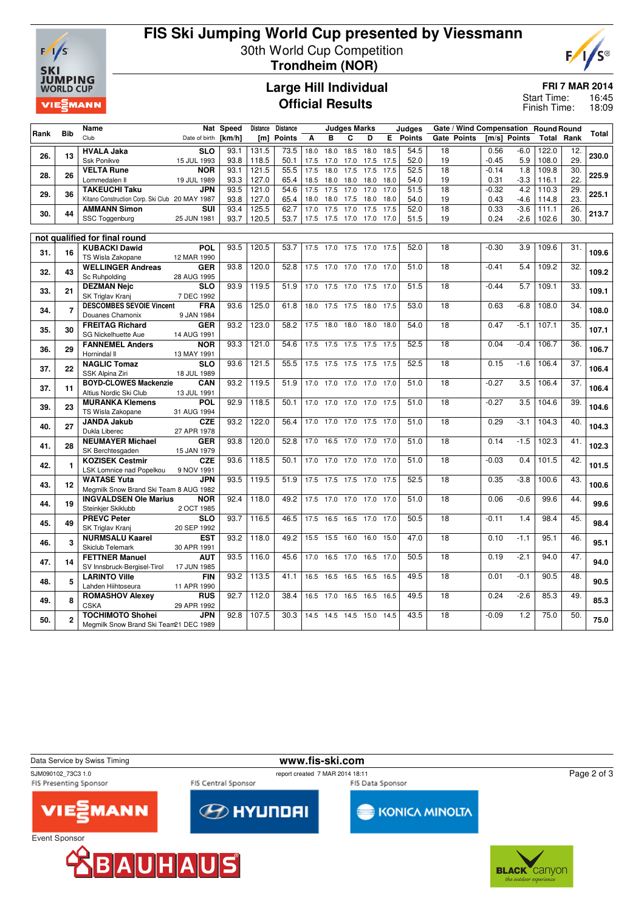

## **FIS Ski Jumping World Cup presented by Viessmann** 30th World Cup Competition **Trondheim (NOR)**



**Large Hill Individual Official Results**

**FRI 7 MAR 2014**

16:45 18:09 Start Time: Finish Time:

|      |                | Name                                                |                           | Nat Speed | Distance | <b>Distance</b> |      |                          | <b>Judges Marks</b> |      |      | Judges          |                 | Gate / Wind Compensation Round Round |         |              |       |                   |       |
|------|----------------|-----------------------------------------------------|---------------------------|-----------|----------|-----------------|------|--------------------------|---------------------|------|------|-----------------|-----------------|--------------------------------------|---------|--------------|-------|-------------------|-------|
| Rank | <b>Bib</b>     | Club                                                | Date of birth             | [km/h]    | [m]      | <b>Points</b>   | A    | в                        | C                   | D    |      | <b>E</b> Points |                 | <b>Gate Points</b>                   |         | [m/s] Points | Total | Rank              | Total |
|      |                | <b>HVALA Jaka</b>                                   | <b>SLO</b>                | 93.1      | 131.5    | 73.5            |      | 18.0 18.0                | 18.5                | 18.0 | 18.5 | 54.5            | 18              |                                      | 0.56    | $-6.0$       | 122.0 | 12.               |       |
| 26.  | 13             | Ssk Ponikve                                         | 15 JUL 1993               | 93.8      | 118.5    | 50.1            | 17.5 | 17.0                     | 17.0                | 17.5 | 17.5 | 52.0            | 19              |                                      | $-0.45$ | 5.9          | 108.0 | 29.               | 230.0 |
|      |                | <b>VELTA Rune</b>                                   | <b>NOR</b>                | 93.1      | 121.5    | 55.5            | 17.5 | 18.0                     | 17.5                | 17.5 | 17.5 | 52.5            | 18              |                                      | $-0.14$ | 1.8          | 109.8 | 30.               |       |
| 28.  | 26             | Lommedalen II                                       | 19 JUL 1989               | 93.3      | 127.0    | 65.4            | 18.5 | 18.0                     | 18.0                | 18.0 | 18.0 | 54.0            | 19              |                                      | 0.31    | $-3.3$       | 116.1 | 22.               | 225.9 |
|      |                | <b>TAKEUCHI Taku</b>                                | <b>JPN</b>                | 93.5      | 121.0    | 54.6            | 17.5 | 17.5                     | 17.0                | 17.0 | 17.0 | 51.5            | 18              |                                      | $-0.32$ | 4.2          | 110.3 | 29.               |       |
| 29.  | 36             | Kitano Construction Corp. Ski Club 20 MAY 1987      |                           | 93.8      | 127.0    | 65.4            | 18.0 | 18.0                     | 17.5                | 18.0 | 18.0 | 54.0            | 19              |                                      | 0.43    | $-4.6$       | 114.8 | 23.               | 225.1 |
| 30.  | 44             | <b>AMMANN Simon</b>                                 | <b>SUI</b>                | 93.4      | 125.5    | 62.7            | 17.0 | 17.5                     | 17.0                | 17.5 | 17.5 | 52.0            | 18              |                                      | 0.33    | $-3.6$       | 111.1 | 26.               | 213.7 |
|      |                | SSC Toggenburg                                      | 25 JUN 1981               | 93.7      | 120.5    | 53.7            |      | 17.5 17.5 17.0 17.0 17.0 |                     |      |      | 51.5            | 19              |                                      | 0.24    | $-2.6$       | 102.6 | 30.               |       |
|      |                |                                                     |                           |           |          |                 |      |                          |                     |      |      |                 |                 |                                      |         |              |       |                   |       |
|      |                | not qualified for final round                       |                           |           |          |                 |      |                          |                     |      |      |                 |                 |                                      |         |              |       |                   |       |
| 31.  | 16             | <b>KUBACKI Dawid</b>                                | <b>POL</b>                | 93.5      | 120.5    | 53.7            |      | 17.5 17.0 17.5 17.0      |                     |      | 17.5 | 52.0            | 18              |                                      | $-0.30$ | 3.9          | 109.6 | 31.               | 109.6 |
|      |                | TS Wisla Zakopane                                   | 12 MAR 1990               | 93.8      |          |                 |      |                          |                     |      |      |                 |                 |                                      |         |              |       |                   |       |
| 32.  | 43             | <b>WELLINGER Andreas</b><br>Sc Ruhpolding           | <b>GER</b>                |           | 120.0    | 52.8            |      | 17.5 17.0 17.0 17.0      |                     |      | 17.0 | 51.0            | 18              |                                      | $-0.41$ | 5.4          | 109.2 | 32.               | 109.2 |
|      |                | <b>DEZMAN Nejc</b>                                  | 28 AUG 1995<br><b>SLO</b> | 93.9      | 119.5    | 51.9            |      | 17.0 17.5 17.0 17.5 17.0 |                     |      |      | 51.5            | 18              |                                      | $-0.44$ | 5.7          | 109.1 | 33.               |       |
| 33.  | 21             | SK Triglav Kranj                                    | 7 DEC 1992                |           |          |                 |      |                          |                     |      |      |                 |                 |                                      |         |              |       |                   | 109.1 |
|      |                | <b>DESCOMBES SEVOIE Vincent</b>                     | <b>FRA</b>                | 93.6      | 125.0    | 61.8            |      | 18.0 17.5 17.5 18.0 17.5 |                     |      |      | 53.0            | 18              |                                      | 0.63    | $-6.8$       | 108.0 | 34.               |       |
| 34.  | $\overline{7}$ | Douanes Chamonix                                    | 9 JAN 1984                |           |          |                 |      |                          |                     |      |      |                 |                 |                                      |         |              |       |                   | 108.0 |
|      |                | <b>FREITAG Richard</b>                              | <b>GER</b>                | 93.2      | 123.0    | 58.2            | 17.5 |                          | 18.0 18.0           | 18.0 | 18.0 | 54.0            | 18              |                                      | 0.47    | $-5.1$       | 107.1 | 35.               |       |
| 35.  | 30             | SG Nickelhuette Aue                                 | 14 AUG 1991               |           |          |                 |      |                          |                     |      |      |                 |                 |                                      |         |              |       |                   | 107.1 |
|      |                | <b>FANNEMEL Anders</b>                              | <b>NOR</b>                | 93.3      | 121.0    | 54.6            |      | 17.5 17.5 17.5           |                     | 17.5 | 17.5 | 52.5            | 18              |                                      | 0.04    | $-0.4$       | 106.7 | 36.               |       |
| 36.  | 29             | Hornindal II                                        | 13 MAY 1991               |           |          |                 |      |                          |                     |      |      |                 |                 |                                      |         |              |       |                   | 106.7 |
| 37.  | 22             | <b>NAGLIC Tomaz</b>                                 | <b>SLO</b>                | 93.6      | 121.5    | 55.5            | 17.5 | 17.5 17.5                |                     | 17.5 | 17.5 | 52.5            | 18              |                                      | 0.15    | $-1.6$       | 106.4 | 37.               | 106.4 |
|      |                | SSK Alpina Ziri                                     | 18 JUL 1989               |           |          |                 |      |                          |                     |      |      |                 |                 |                                      |         |              |       |                   |       |
| 37.  | 11             | <b>BOYD-CLOWES Mackenzie</b>                        | CAN                       | 93.2      | 119.5    | 51.9            |      | 17.0 17.0 17.0 17.0      |                     |      | 17.0 | 51.0            | 18              |                                      | $-0.27$ | 3.5          | 106.4 | $\overline{37}$ . | 106.4 |
|      |                | Altius Nordic Ski Club                              | 13 JUL 1991               |           |          |                 |      |                          |                     |      |      |                 |                 |                                      |         |              |       |                   |       |
| 39.  | 23             | <b>MURANKA Klemens</b>                              | <b>POL</b>                | 92.9      | 118.5    | 50.1            |      | 17.0 17.0 17.0 17.0      |                     |      | 17.5 | 51.0            | 18              |                                      | $-0.27$ | 3.5          | 104.6 | $\overline{39}$   | 104.6 |
|      |                | TS Wisla Zakopane                                   | 31 AUG 1994               |           |          |                 |      |                          |                     |      |      |                 |                 |                                      |         |              |       |                   |       |
| 40.  | 27             | <b>JANDA Jakub</b><br>Dukla Liberec                 | <b>CZE</b>                | 93.2      | 122.0    | 56.4            | 17.0 | 17.0 17.0                |                     | 17.5 | 17.0 | 51.0            | 18              |                                      | 0.29    | $-3.1$       | 104.3 | 40.               | 104.3 |
|      |                | <b>NEUMAYER Michael</b>                             | 27 APR 1978<br><b>GER</b> | 93.8      | 120.0    | 52.8            | 17.0 |                          | 16.5 17.0 17.0      |      | 17.0 | 51.0            | 18              |                                      | 0.14    | $-1.5$       | 102.3 | 41.               |       |
| 41.  | 28             | SK Berchtesgaden                                    | 15 JAN 1979               |           |          |                 |      |                          |                     |      |      |                 |                 |                                      |         |              |       |                   | 102.3 |
|      |                | <b>KOZISEK Cestmir</b>                              | <b>CZE</b>                | 93.6      | 118.5    | 50.1            | 17.0 | 17.0                     | 17.0                | 17.0 | 17.0 | 51.0            | $\overline{18}$ |                                      | $-0.03$ | 0.4          | 101.5 | 42.               |       |
| 42.  | $\mathbf{1}$   | LSK Lomnice nad Popelkou                            | 9 NOV 1991                |           |          |                 |      |                          |                     |      |      |                 |                 |                                      |         |              |       |                   | 101.5 |
|      |                | <b>WATASE Yuta</b>                                  | JPN                       | 93.5      | 119.5    | 51.9            | 17.5 | 17.5 17.5                |                     | 17.0 | 17.5 | 52.5            | 18              |                                      | 0.35    | $-3.8$       | 100.6 | 43.               |       |
| 43.  | 12             | Megmilk Snow Brand Ski Team 8 AUG 1982              |                           |           |          |                 |      |                          |                     |      |      |                 |                 |                                      |         |              |       |                   | 100.6 |
|      | 19             | <b>INGVALDSEN Ole Marius</b>                        | <b>NOR</b>                | 92.4      | 118.0    | 49.2            |      | 17.5 17.0 17.0 17.0      |                     |      | 17.0 | 51.0            | 18              |                                      | 0.06    | $-0.6$       | 99.6  | 44.               |       |
| 44.  |                | Steinkjer Skiklubb                                  | 2 OCT 1985                |           |          |                 |      |                          |                     |      |      |                 |                 |                                      |         |              |       |                   | 99.6  |
| 45.  | 49             | <b>PREVC Peter</b>                                  | <b>SLO</b>                | 93.7      | 116.5    | 46.5            |      | 17.5 16.5 16.5 17.0 17.0 |                     |      |      | 50.5            | 18              |                                      | $-0.11$ | 1.4          | 98.4  | 45.               | 98.4  |
|      |                | SK Triglav Kranj                                    | 20 SEP 1992               |           |          |                 |      |                          |                     |      |      |                 |                 |                                      |         |              |       |                   |       |
| 46.  | 3              | <b>NURMSALU Kaarel</b>                              | <b>EST</b>                | 93.2      | 118.0    | 49.2            | 15.5 | 15.5                     | 16.0                | 16.0 | 15.0 | 47.0            | 18              |                                      | 0.10    | $-1.1$       | 95.1  | 46.               | 95.1  |
|      |                | Skiclub Telemark                                    | 30 APR 1991               |           |          |                 |      |                          |                     |      |      |                 |                 |                                      |         |              |       |                   |       |
| 47.  | 14             | <b>FETTNER Manuel</b>                               | <b>AUT</b>                | 93.5      | 116.0    | 45.6            | 17.0 | 16.5 17.0                |                     | 16.5 | 17.0 | 50.5            | 18              |                                      | 0.19    | $-2.1$       | 94.0  | 47.               | 94.0  |
|      |                | SV Innsbruck-Bergisel-Tirol<br><b>LARINTO Ville</b> | 17 JUN 1985               | 93.2      | 113.5    | 41.1            | 16.5 |                          |                     |      | 16.5 | 49.5            | 18              |                                      | 0.01    | $-0.1$       | 90.5  | 48.               |       |
| 48.  | 5              | Lahden Hiihtoseura                                  | <b>FIN</b><br>11 APR 1990 |           |          |                 |      | 16.5 16.5                |                     | 16.5 |      |                 |                 |                                      |         |              |       |                   | 90.5  |
|      |                | <b>ROMASHOV Alexey</b>                              | <b>RUS</b>                | 92.7      | 112.0    | 38.4            | 16.5 | 17.0                     | 16.5                | 16.5 | 16.5 | 49.5            | 18              |                                      | 0.24    | $-2.6$       | 85.3  | 49.               |       |
| 49.  | 8              | <b>CSKA</b>                                         | 29 APR 1992               |           |          |                 |      |                          |                     |      |      |                 |                 |                                      |         |              |       |                   | 85.3  |
|      |                | <b>TOCHIMOTO Shohei</b>                             | <b>JPN</b>                | 92.8      | 107.5    | 30.3            |      | 14.5 14.5 14.5 15.0 14.5 |                     |      |      | 43.5            | $\overline{18}$ |                                      | $-0.09$ | 1.2          | 75.0  | 50.               |       |
| 50.  | $\overline{2}$ | Megmilk Snow Brand Ski Team21 DEC 1989              |                           |           |          |                 |      |                          |                     |      |      |                 |                 |                                      |         |              |       |                   | 75.0  |
|      |                |                                                     |                           |           |          |                 |      |                          |                     |      |      |                 |                 |                                      |         |              |       |                   |       |